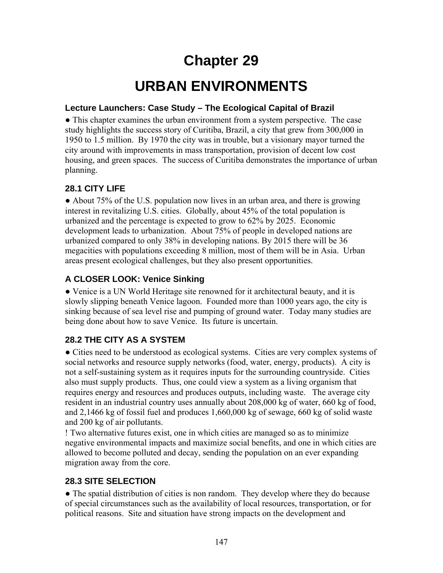# **Chapter 29**

# **URBAN ENVIRONMENTS**

#### **Lecture Launchers: Case Study – The Ecological Capital of Brazil**

● This chapter examines the urban environment from a system perspective. The case study highlights the success story of Curitiba, Brazil, a city that grew from 300,000 in 1950 to 1.5 million. By 1970 the city was in trouble, but a visionary mayor turned the city around with improvements in mass transportation, provision of decent low cost housing, and green spaces. The success of Curitiba demonstrates the importance of urban planning.

## **28.1 CITY LIFE**

● About 75% of the U.S. population now lives in an urban area, and there is growing interest in revitalizing U.S. cities. Globally, about 45% of the total population is urbanized and the percentage is expected to grow to 62% by 2025. Economic development leads to urbanization. About 75% of people in developed nations are urbanized compared to only 38% in developing nations. By 2015 there will be 36 megacities with populations exceeding 8 million, most of them will be in Asia. Urban areas present ecological challenges, but they also present opportunities.

# **A CLOSER LOOK: Venice Sinking**

● Venice is a UN World Heritage site renowned for it architectural beauty, and it is slowly slipping beneath Venice lagoon. Founded more than 1000 years ago, the city is sinking because of sea level rise and pumping of ground water. Today many studies are being done about how to save Venice. Its future is uncertain.

# **28.2 THE CITY AS A SYSTEM**

• Cities need to be understood as ecological systems. Cities are very complex systems of social networks and resource supply networks (food, water, energy, products). A city is not a self-sustaining system as it requires inputs for the surrounding countryside. Cities also must supply products. Thus, one could view a system as a living organism that requires energy and resources and produces outputs, including waste. The average city resident in an industrial country uses annually about 208,000 kg of water, 660 kg of food, and 2,1466 kg of fossil fuel and produces 1,660,000 kg of sewage, 660 kg of solid waste and 200 kg of air pollutants.

! Two alternative futures exist, one in which cities are managed so as to minimize negative environmental impacts and maximize social benefits, and one in which cities are allowed to become polluted and decay, sending the population on an ever expanding migration away from the core.

## **28.3 SITE SELECTION**

• The spatial distribution of cities is non random. They develop where they do because of special circumstances such as the availability of local resources, transportation, or for political reasons. Site and situation have strong impacts on the development and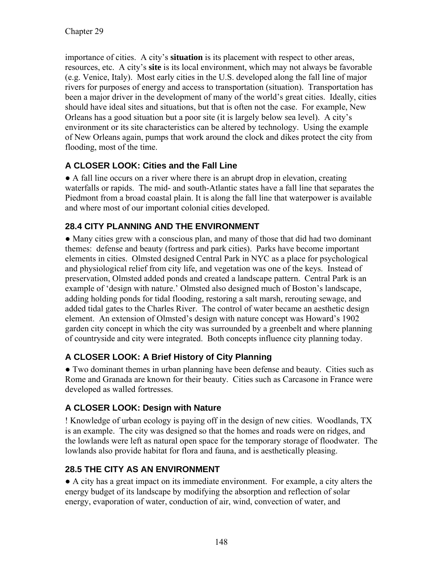importance of cities. A city's **situation** is its placement with respect to other areas, resources, etc. A city's **site** is its local environment, which may not always be favorable (e.g. Venice, Italy). Most early cities in the U.S. developed along the fall line of major rivers for purposes of energy and access to transportation (situation). Transportation has been a major driver in the development of many of the world's great cities. Ideally, cities should have ideal sites and situations, but that is often not the case. For example, New Orleans has a good situation but a poor site (it is largely below sea level). A city's environment or its site characteristics can be altered by technology. Using the example of New Orleans again, pumps that work around the clock and dikes protect the city from flooding, most of the time.

## **A CLOSER LOOK: Cities and the Fall Line**

● A fall line occurs on a river where there is an abrupt drop in elevation, creating waterfalls or rapids. The mid- and south-Atlantic states have a fall line that separates the Piedmont from a broad coastal plain. It is along the fall line that waterpower is available and where most of our important colonial cities developed.

# **28.4 CITY PLANNING AND THE ENVIRONMENT**

● Many cities grew with a conscious plan, and many of those that did had two dominant themes: defense and beauty (fortress and park cities). Parks have become important elements in cities. Olmsted designed Central Park in NYC as a place for psychological and physiological relief from city life, and vegetation was one of the keys. Instead of preservation, Olmsted added ponds and created a landscape pattern. Central Park is an example of 'design with nature.' Olmsted also designed much of Boston's landscape, adding holding ponds for tidal flooding, restoring a salt marsh, rerouting sewage, and added tidal gates to the Charles River. The control of water became an aesthetic design element. An extension of Olmsted's design with nature concept was Howard's 1902 garden city concept in which the city was surrounded by a greenbelt and where planning of countryside and city were integrated. Both concepts influence city planning today.

# **A CLOSER LOOK: A Brief History of City Planning**

● Two dominant themes in urban planning have been defense and beauty. Cities such as Rome and Granada are known for their beauty. Cities such as Carcasone in France were developed as walled fortresses.

## **A CLOSER LOOK: Design with Nature**

! Knowledge of urban ecology is paying off in the design of new cities. Woodlands, TX is an example. The city was designed so that the homes and roads were on ridges, and the lowlands were left as natural open space for the temporary storage of floodwater. The lowlands also provide habitat for flora and fauna, and is aesthetically pleasing.

## **28.5 THE CITY AS AN ENVIRONMENT**

● A city has a great impact on its immediate environment. For example, a city alters the energy budget of its landscape by modifying the absorption and reflection of solar energy, evaporation of water, conduction of air, wind, convection of water, and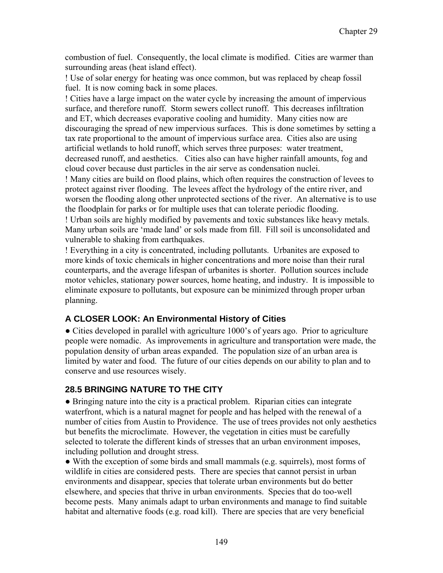combustion of fuel. Consequently, the local climate is modified. Cities are warmer than surrounding areas (heat island effect).

! Use of solar energy for heating was once common, but was replaced by cheap fossil fuel. It is now coming back in some places.

! Cities have a large impact on the water cycle by increasing the amount of impervious surface, and therefore runoff. Storm sewers collect runoff. This decreases infiltration and ET, which decreases evaporative cooling and humidity. Many cities now are discouraging the spread of new impervious surfaces. This is done sometimes by setting a tax rate proportional to the amount of impervious surface area. Cities also are using artificial wetlands to hold runoff, which serves three purposes: water treatment, decreased runoff, and aesthetics. Cities also can have higher rainfall amounts, fog and cloud cover because dust particles in the air serve as condensation nuclei.

! Many cities are build on flood plains, which often requires the construction of levees to protect against river flooding. The levees affect the hydrology of the entire river, and worsen the flooding along other unprotected sections of the river. An alternative is to use the floodplain for parks or for multiple uses that can tolerate periodic flooding.

! Urban soils are highly modified by pavements and toxic substances like heavy metals. Many urban soils are 'made land' or sols made from fill. Fill soil is unconsolidated and vulnerable to shaking from earthquakes.

! Everything in a city is concentrated, including pollutants. Urbanites are exposed to more kinds of toxic chemicals in higher concentrations and more noise than their rural counterparts, and the average lifespan of urbanites is shorter. Pollution sources include motor vehicles, stationary power sources, home heating, and industry. It is impossible to eliminate exposure to pollutants, but exposure can be minimized through proper urban planning.

#### **A CLOSER LOOK: An Environmental History of Cities**

• Cities developed in parallel with agriculture 1000's of years ago. Prior to agriculture people were nomadic. As improvements in agriculture and transportation were made, the population density of urban areas expanded. The population size of an urban area is limited by water and food. The future of our cities depends on our ability to plan and to conserve and use resources wisely.

#### **28.5 BRINGING NATURE TO THE CITY**

● Bringing nature into the city is a practical problem. Riparian cities can integrate waterfront, which is a natural magnet for people and has helped with the renewal of a number of cities from Austin to Providence. The use of trees provides not only aesthetics but benefits the microclimate. However, the vegetation in cities must be carefully selected to tolerate the different kinds of stresses that an urban environment imposes, including pollution and drought stress.

• With the exception of some birds and small mammals (e.g. squirrels), most forms of wildlife in cities are considered pests. There are species that cannot persist in urban environments and disappear, species that tolerate urban environments but do better elsewhere, and species that thrive in urban environments. Species that do too-well become pests. Many animals adapt to urban environments and manage to find suitable habitat and alternative foods (e.g. road kill). There are species that are very beneficial